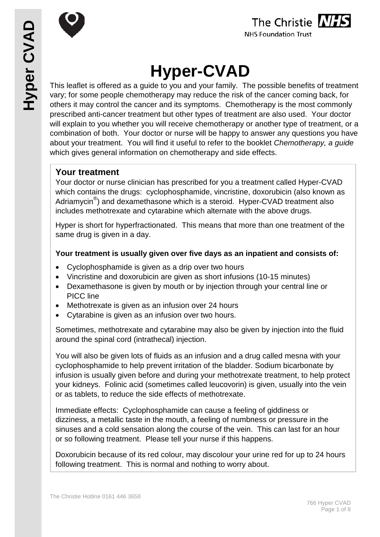



# **Hyper-CVAD**

This leaflet is offered as a guide to you and your family. The possible benefits of treatment vary; for some people chemotherapy may reduce the risk of the cancer coming back, for others it may control the cancer and its symptoms. Chemotherapy is the most commonly prescribed anti-cancer treatment but other types of treatment are also used. Your doctor will explain to you whether you will receive chemotherapy or another type of treatment, or a combination of both. Your doctor or nurse will be happy to answer any questions you have about your treatment. You will find it useful to refer to the booklet *Chemotherapy, a guide* which gives general information on chemotherapy and side effects.

## **Your treatment**

Your doctor or nurse clinician has prescribed for you a treatment called Hyper-CVAD which contains the drugs: cyclophosphamide, vincristine, doxorubicin (also known as Adriamycin<sup>®</sup>) and dexamethasone which is a steroid. Hyper-CVAD treatment also includes methotrexate and cytarabine which alternate with the above drugs.

Hyper is short for hyperfractionated. This means that more than one treatment of the same drug is given in a day.

#### **Your treatment is usually given over five days as an inpatient and consists of:**

- Cyclophosphamide is given as a drip over two hours
- Vincristine and doxorubicin are given as short infusions (10-15 minutes)
- Dexamethasone is given by mouth or by injection through your central line or PICC line
- Methotrexate is given as an infusion over 24 hours
- Cytarabine is given as an infusion over two hours.

Sometimes, methotrexate and cytarabine may also be given by injection into the fluid around the spinal cord (intrathecal) injection.

You will also be given lots of fluids as an infusion and a drug called mesna with your cyclophosphamide to help prevent irritation of the bladder. Sodium bicarbonate by infusion is usually given before and during your methotrexate treatment, to help protect your kidneys. Folinic acid (sometimes called leucovorin) is given, usually into the vein or as tablets, to reduce the side effects of methotrexate.

Immediate effects: Cyclophosphamide can cause a feeling of giddiness or dizziness, a metallic taste in the mouth, a feeling of numbness or pressure in the sinuses and a cold sensation along the course of the vein. This can last for an hour or so following treatment. Please tell your nurse if this happens.

Doxorubicin because of its red colour, may discolour your urine red for up to 24 hours following treatment. This is normal and nothing to worry about.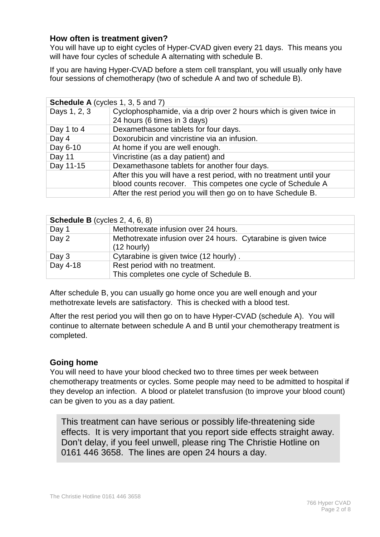#### **How often is treatment given?**

You will have up to eight cycles of Hyper-CVAD given every 21 days. This means you will have four cycles of schedule A alternating with schedule B.

If you are having Hyper-CVAD before a stem cell transplant, you will usually only have four sessions of chemotherapy (two of schedule A and two of schedule B).

| <b>Schedule A</b> (cycles 1, 3, 5 and 7) |                                                                                                                                     |  |  |  |
|------------------------------------------|-------------------------------------------------------------------------------------------------------------------------------------|--|--|--|
| Days 1, 2, 3                             | Cyclophosphamide, via a drip over 2 hours which is given twice in<br>24 hours (6 times in 3 days)                                   |  |  |  |
| Day 1 to 4                               | Dexamethasone tablets for four days.                                                                                                |  |  |  |
| Day 4                                    | Doxorubicin and vincristine via an infusion.                                                                                        |  |  |  |
| Day 6-10                                 | At home if you are well enough.                                                                                                     |  |  |  |
| Day 11                                   | Vincristine (as a day patient) and                                                                                                  |  |  |  |
| Day 11-15                                | Dexamethasone tablets for another four days.                                                                                        |  |  |  |
|                                          | After this you will have a rest period, with no treatment until your<br>blood counts recover. This competes one cycle of Schedule A |  |  |  |
|                                          | After the rest period you will then go on to have Schedule B.                                                                       |  |  |  |

| <b>Schedule B</b> (cycles $2, 4, 6, 8$ ) |                                                                                 |  |  |  |
|------------------------------------------|---------------------------------------------------------------------------------|--|--|--|
| Day 1                                    | Methotrexate infusion over 24 hours.                                            |  |  |  |
| Day 2                                    | Methotrexate infusion over 24 hours. Cytarabine is given twice<br>$(12$ hourly) |  |  |  |
| Day 3                                    | Cytarabine is given twice (12 hourly).                                          |  |  |  |
| Day 4-18                                 | Rest period with no treatment.<br>This completes one cycle of Schedule B.       |  |  |  |

After schedule B, you can usually go home once you are well enough and your methotrexate levels are satisfactory. This is checked with a blood test.

After the rest period you will then go on to have Hyper-CVAD (schedule A). You will continue to alternate between schedule A and B until your chemotherapy treatment is completed.

#### **Going home**

You will need to have your blood checked two to three times per week between chemotherapy treatments or cycles. Some people may need to be admitted to hospital if they develop an infection. A blood or platelet transfusion (to improve your blood count) can be given to you as a day patient.

This treatment can have serious or possibly life-threatening side effects. It is very important that you report side effects straight away. Don't delay, if you feel unwell, please ring The Christie Hotline on 0161 446 3658. The lines are open 24 hours a day.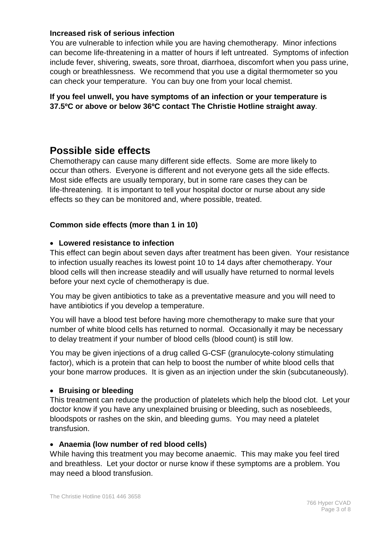#### **Increased risk of serious infection**

You are vulnerable to infection while you are having chemotherapy. Minor infections can become life-threatening in a matter of hours if left untreated. Symptoms of infection include fever, shivering, sweats, sore throat, diarrhoea, discomfort when you pass urine, cough or breathlessness. We recommend that you use a digital thermometer so you can check your temperature. You can buy one from your local chemist.

**If you feel unwell, you have symptoms of an infection or your temperature is 37.5ºC or above or below 36ºC contact The Christie Hotline straight away**.

# **Possible side effects**

Chemotherapy can cause many different side effects. Some are more likely to occur than others. Everyone is different and not everyone gets all the side effects. Most side effects are usually temporary, but in some rare cases they can be life-threatening. It is important to tell your hospital doctor or nurse about any side effects so they can be monitored and, where possible, treated.

#### **Common side effects (more than 1 in 10)**

#### • **Lowered resistance to infection**

This effect can begin about seven days after treatment has been given. Your resistance to infection usually reaches its lowest point 10 to 14 days after chemotherapy. Your blood cells will then increase steadily and will usually have returned to normal levels before your next cycle of chemotherapy is due.

You may be given antibiotics to take as a preventative measure and you will need to have antibiotics if you develop a temperature.

You will have a blood test before having more chemotherapy to make sure that your number of white blood cells has returned to normal. Occasionally it may be necessary to delay treatment if your number of blood cells (blood count) is still low.

You may be given injections of a drug called G-CSF (granulocyte-colony stimulating factor), which is a protein that can help to boost the number of white blood cells that your bone marrow produces. It is given as an injection under the skin (subcutaneously).

#### • **Bruising or bleeding**

This treatment can reduce the production of platelets which help the blood clot. Let your doctor know if you have any unexplained bruising or bleeding, such as nosebleeds, bloodspots or rashes on the skin, and bleeding gums. You may need a platelet transfusion.

#### • **Anaemia (low number of red blood cells)**

While having this treatment you may become anaemic. This may make you feel tired and breathless. Let your doctor or nurse know if these symptoms are a problem. You may need a blood transfusion.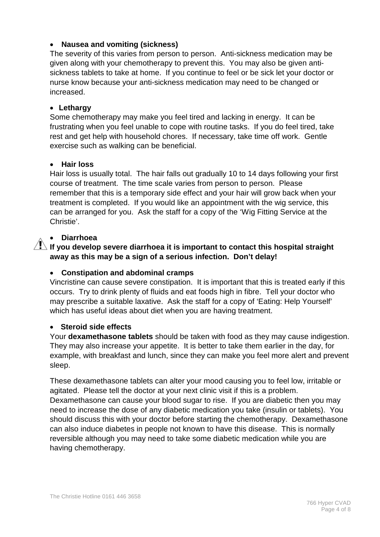#### • **Nausea and vomiting (sickness)**

The severity of this varies from person to person. Anti-sickness medication may be given along with your chemotherapy to prevent this. You may also be given antisickness tablets to take at home. If you continue to feel or be sick let your doctor or nurse know because your anti-sickness medication may need to be changed or increased.

#### • **Lethargy**

Some chemotherapy may make you feel tired and lacking in energy. It can be frustrating when you feel unable to cope with routine tasks. If you do feel tired, take rest and get help with household chores. If necessary, take time off work. Gentle exercise such as walking can be beneficial.

#### • **Hair loss**

Hair loss is usually total. The hair falls out gradually 10 to 14 days following your first course of treatment. The time scale varies from person to person. Please remember that this is a temporary side effect and your hair will grow back when your treatment is completed. If you would like an appointment with the wig service, this can be arranged for you. Ask the staff for a copy of the 'Wig Fitting Service at the Christie'.

#### • **Diarrhoea**

### $\overline{\mathcal{P}}$  If you develop severe diarrhoea it is important to contact this hospital straight **away as this may be a sign of a serious infection. Don't delay!**

#### • **Constipation and abdominal cramps**

Vincristine can cause severe constipation. It is important that this is treated early if this occurs. Try to drink plenty of fluids and eat foods high in fibre. Tell your doctor who may prescribe a suitable laxative. Ask the staff for a copy of 'Eating: Help Yourself' which has useful ideas about diet when you are having treatment.

#### • **Steroid side effects**

Your **dexamethasone tablets** should be taken with food as they may cause indigestion. They may also increase your appetite. It is better to take them earlier in the day, for example, with breakfast and lunch, since they can make you feel more alert and prevent sleep.

These dexamethasone tablets can alter your mood causing you to feel low, irritable or agitated. Please tell the doctor at your next clinic visit if this is a problem. Dexamethasone can cause your blood sugar to rise. If you are diabetic then you may need to increase the dose of any diabetic medication you take (insulin or tablets). You should discuss this with your doctor before starting the chemotherapy. Dexamethasone can also induce diabetes in people not known to have this disease. This is normally reversible although you may need to take some diabetic medication while you are having chemotherapy.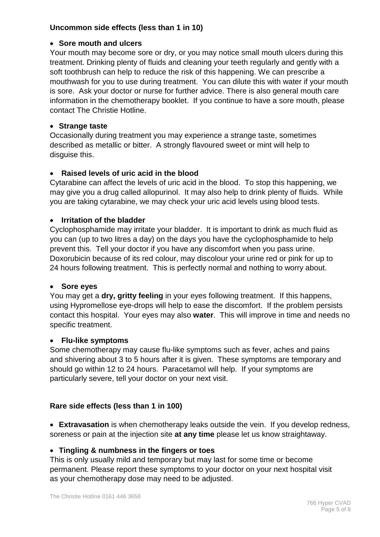#### **Uncommon side effects (less than 1 in 10)**

#### • **Sore mouth and ulcers**

Your mouth may become sore or dry, or you may notice small mouth ulcers during this treatment. Drinking plenty of fluids and cleaning your teeth regularly and gently with a soft toothbrush can help to reduce the risk of this happening. We can prescribe a mouthwash for you to use during treatment. You can dilute this with water if your mouth is sore. Ask your doctor or nurse for further advice. There is also general mouth care information in the chemotherapy booklet. If you continue to have a sore mouth, please contact The Christie Hotline.

#### • **Strange taste**

Occasionally during treatment you may experience a strange taste, sometimes described as metallic or bitter. A strongly flavoured sweet or mint will help to disguise this.

#### • **Raised levels of uric acid in the blood**

Cytarabine can affect the levels of uric acid in the blood. To stop this happening, we may give you a drug called allopurinol. It may also help to drink plenty of fluids. While you are taking cytarabine, we may check your uric acid levels using blood tests.

#### • **Irritation of the bladder**

Cyclophosphamide may irritate your bladder. It is important to drink as much fluid as you can (up to two litres a day) on the days you have the cyclophosphamide to help prevent this. Tell your doctor if you have any discomfort when you pass urine. Doxorubicin because of its red colour, may discolour your urine red or pink for up to 24 hours following treatment. This is perfectly normal and nothing to worry about.

#### • **Sore eyes**

You may get a **dry, gritty feeling** in your eyes following treatment. If this happens, using Hypromellose eye-drops will help to ease the discomfort. If the problem persists contact this hospital. Your eyes may also **water**. This will improve in time and needs no specific treatment.

#### • **Flu-like symptoms**

Some chemotherapy may cause flu-like symptoms such as fever, aches and pains and shivering about 3 to 5 hours after it is given. These symptoms are temporary and should go within 12 to 24 hours. Paracetamol will help. If your symptoms are particularly severe, tell your doctor on your next visit.

#### **Rare side effects (less than 1 in 100)**

• **Extravasation** is when chemotherapy leaks outside the vein. If you develop redness, soreness or pain at the injection site **at any time** please let us know straightaway.

#### • **Tingling & numbness in the fingers or toes**

This is only usually mild and temporary but may last for some time or become permanent. Please report these symptoms to your doctor on your next hospital visit as your chemotherapy dose may need to be adjusted.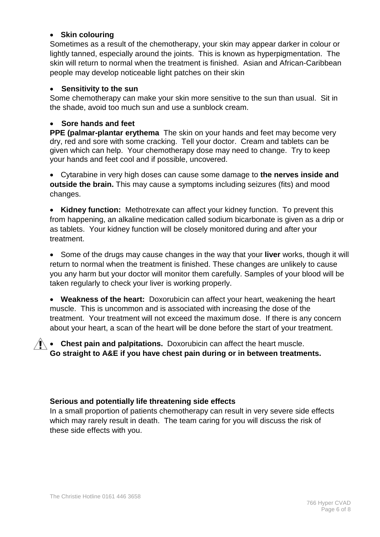#### • **Skin colouring**

Sometimes as a result of the chemotherapy, your skin may appear darker in colour or lightly tanned, especially around the joints. This is known as hyperpigmentation. The skin will return to normal when the treatment is finished. Asian and African-Caribbean people may develop noticeable light patches on their skin

#### • **Sensitivity to the sun**

Some chemotherapy can make your skin more sensitive to the sun than usual. Sit in the shade, avoid too much sun and use a sunblock cream.

#### • **Sore hands and feet**

**PPE (palmar-plantar erythema** The skin on your hands and feet may become very dry, red and sore with some cracking. Tell your doctor. Cream and tablets can be given which can help. Your chemotherapy dose may need to change. Try to keep your hands and feet cool and if possible, uncovered.

• Cytarabine in very high doses can cause some damage to **the nerves inside and outside the brain.** This may cause a symptoms including seizures (fits) and mood changes.

• **Kidney function:** Methotrexate can affect your kidney function. To prevent this from happening, an alkaline medication called sodium bicarbonate is given as a drip or as tablets. Your kidney function will be closely monitored during and after your treatment.

• Some of the drugs may cause changes in the way that your **liver** works, though it will return to normal when the treatment is finished. These changes are unlikely to cause you any harm but your doctor will monitor them carefully. Samples of your blood will be taken regularly to check your liver is working properly.

• **Weakness of the heart:** Doxorubicin can affect your heart, weakening the heart muscle. This is uncommon and is associated with increasing the dose of the treatment. Your treatment will not exceed the maximum dose. If there is any concern about your heart, a scan of the heart will be done before the start of your treatment.

**I** • **Chest pain and palpitations.** Doxorubicin can affect the heart muscle. **Go straight to A&E if you have chest pain during or in between treatments.**

#### **Serious and potentially life threatening side effects**

In a small proportion of patients chemotherapy can result in very severe side effects which may rarely result in death. The team caring for you will discuss the risk of these side effects with you.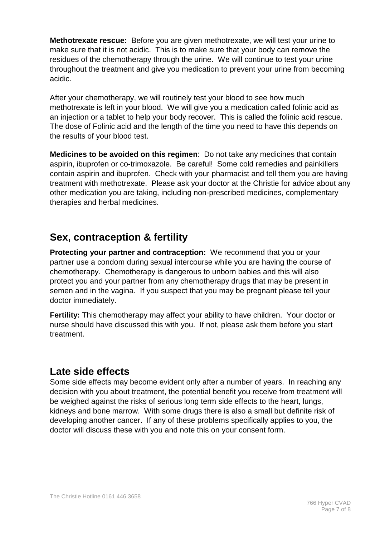**Methotrexate rescue:** Before you are given methotrexate, we will test your urine to make sure that it is not acidic. This is to make sure that your body can remove the residues of the chemotherapy through the urine. We will continue to test your urine throughout the treatment and give you medication to prevent your urine from becoming acidic.

After your chemotherapy, we will routinely test your blood to see how much methotrexate is left in your blood. We will give you a medication called folinic acid as an injection or a tablet to help your body recover. This is called the folinic acid rescue. The dose of Folinic acid and the length of the time you need to have this depends on the results of your blood test.

**Medicines to be avoided on this regimen**: Do not take any medicines that contain aspirin, ibuprofen or co-trimoxazole. Be careful! Some cold remedies and painkillers contain aspirin and ibuprofen. Check with your pharmacist and tell them you are having treatment with methotrexate. Please ask your doctor at the Christie for advice about any other medication you are taking, including non-prescribed medicines, complementary therapies and herbal medicines.

# **Sex, contraception & fertility**

**Protecting your partner and contraception:** We recommend that you or your partner use a condom during sexual intercourse while you are having the course of chemotherapy. Chemotherapy is dangerous to unborn babies and this will also protect you and your partner from any chemotherapy drugs that may be present in semen and in the vagina. If you suspect that you may be pregnant please tell your doctor immediately.

**Fertility:** This chemotherapy may affect your ability to have children. Your doctor or nurse should have discussed this with you. If not, please ask them before you start treatment.

# **Late side effects**

Some side effects may become evident only after a number of years. In reaching any decision with you about treatment, the potential benefit you receive from treatment will be weighed against the risks of serious long term side effects to the heart, lungs, kidneys and bone marrow. With some drugs there is also a small but definite risk of developing another cancer. If any of these problems specifically applies to you, the doctor will discuss these with you and note this on your consent form.